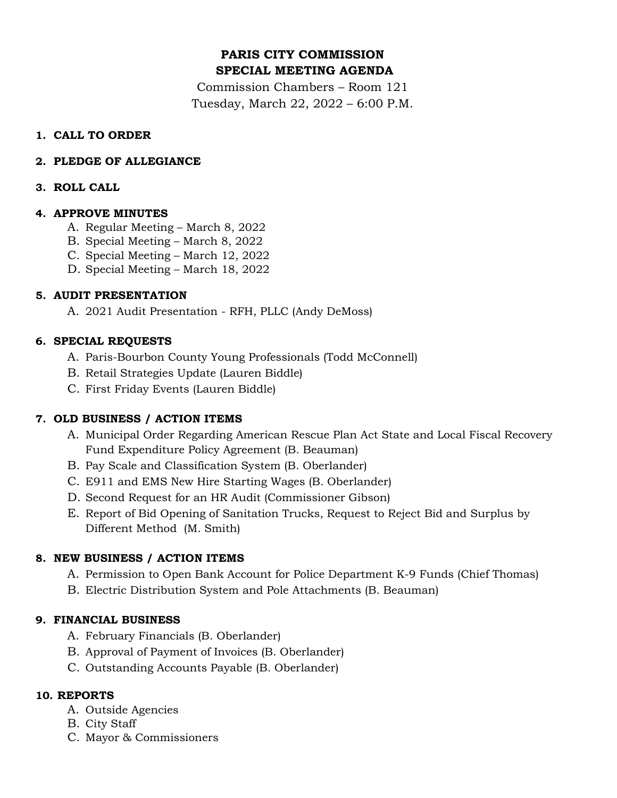# **PARIS CITY COMMISSION SPECIAL MEETING AGENDA**

Commission Chambers – Room 121 Tuesday, March 22, 2022 – 6:00 P.M.

### **1. CALL TO ORDER**

# **2. PLEDGE OF ALLEGIANCE**

# **3. ROLL CALL**

# **4. APPROVE MINUTES**

- A. Regular Meeting March 8, 2022
- B. Special Meeting March 8, 2022
- C. Special Meeting March 12, 2022
- D. Special Meeting March 18, 2022

# **5. AUDIT PRESENTATION**

A. 2021 Audit Presentation - RFH, PLLC (Andy DeMoss)

# **6. SPECIAL REQUESTS**

- A. Paris-Bourbon County Young Professionals (Todd McConnell)
- B. Retail Strategies Update (Lauren Biddle)
- C. First Friday Events (Lauren Biddle)

# **7. OLD BUSINESS / ACTION ITEMS**

- A. Municipal Order Regarding American Rescue Plan Act State and Local Fiscal Recovery Fund Expenditure Policy Agreement (B. Beauman)
- B. Pay Scale and Classification System (B. Oberlander)
- C. E911 and EMS New Hire Starting Wages (B. Oberlander)
- D. Second Request for an HR Audit (Commissioner Gibson)
- E. Report of Bid Opening of Sanitation Trucks, Request to Reject Bid and Surplus by Different Method (M. Smith)

### **8. NEW BUSINESS / ACTION ITEMS**

- A. Permission to Open Bank Account for Police Department K-9 Funds (Chief Thomas)
- B. Electric Distribution System and Pole Attachments (B. Beauman)

# **9. FINANCIAL BUSINESS**

- A. February Financials (B. Oberlander)
- B. Approval of Payment of Invoices (B. Oberlander)
- C. Outstanding Accounts Payable (B. Oberlander)

# **10. REPORTS**

- A. Outside Agencies
- B. City Staff
- C. Mayor & Commissioners